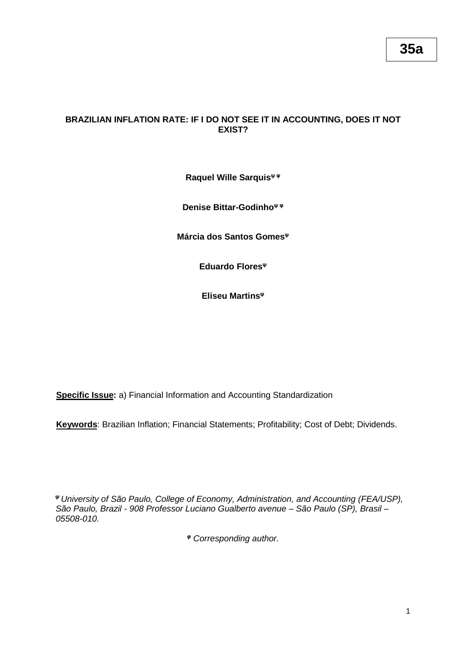# **BRAZILIAN INFLATION RATE: IF I DO NOT SEE IT IN ACCOUNTING, DOES IT NOT EXIST?**

# **Raquel Wille Sarquis<sup>ψ</sup> <sup>φ</sup>**

**Denise Bittar-Godinho<sup>ψ</sup> <sup>φ</sup>**

**Márcia dos Santos Gomes<sup>ψ</sup>**

**Eduardo Flores<sup>ψ</sup>**

**Eliseu Martins<sup>ψ</sup>**

**Specific Issue:** a) Financial Information and Accounting Standardization

**Keywords**: Brazilian Inflation; Financial Statements; Profitability; Cost of Debt; Dividends.

*<sup>ψ</sup>University of São Paulo, College of Economy, Administration, and Accounting (FEA/USP), São Paulo, Brazil - 908 Professor Luciano Gualberto avenue – São Paulo (SP), Brasil – 05508-010.*

*<sup>φ</sup> Corresponding author.*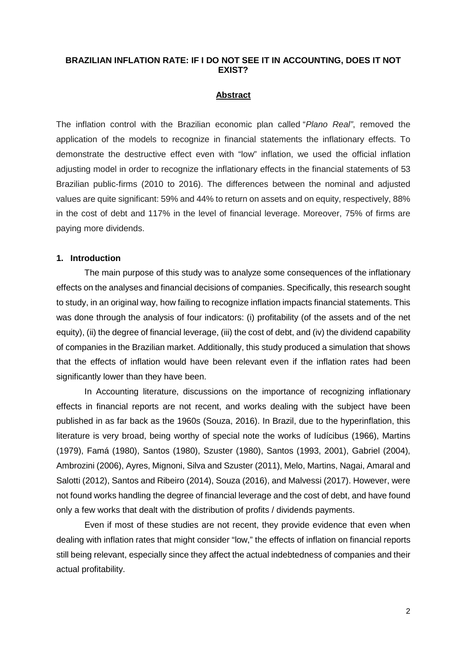## **BRAZILIAN INFLATION RATE: IF I DO NOT SEE IT IN ACCOUNTING, DOES IT NOT EXIST?**

#### **Abstract**

The inflation control with the Brazilian economic plan called "*Plano Real"*, removed the application of the models to recognize in financial statements the inflationary effects. To demonstrate the destructive effect even with "low" inflation, we used the official inflation adjusting model in order to recognize the inflationary effects in the financial statements of 53 Brazilian public-firms (2010 to 2016). The differences between the nominal and adjusted values are quite significant: 59% and 44% to return on assets and on equity, respectively, 88% in the cost of debt and 117% in the level of financial leverage. Moreover, 75% of firms are paying more dividends.

### **1. Introduction**

The main purpose of this study was to analyze some consequences of the inflationary effects on the analyses and financial decisions of companies. Specifically, this research sought to study, in an original way, how failing to recognize inflation impacts financial statements. This was done through the analysis of four indicators: (i) profitability (of the assets and of the net equity), (ii) the degree of financial leverage, (iii) the cost of debt, and (iv) the dividend capability of companies in the Brazilian market. Additionally, this study produced a simulation that shows that the effects of inflation would have been relevant even if the inflation rates had been significantly lower than they have been.

In Accounting literature, discussions on the importance of recognizing inflationary effects in financial reports are not recent, and works dealing with the subject have been published in as far back as the 1960s (Souza, 2016). In Brazil, due to the hyperinflation, this literature is very broad, being worthy of special note the works of Iudícibus (1966), Martins (1979), Famá (1980), Santos (1980), Szuster (1980), Santos (1993, 2001), Gabriel (2004), Ambrozini (2006), Ayres, Mignoni, Silva and Szuster (2011), Melo, Martins, Nagai, Amaral and Salotti (2012), Santos and Ribeiro (2014), Souza (2016), and Malvessi (2017). However, were not found works handling the degree of financial leverage and the cost of debt, and have found only a few works that dealt with the distribution of profits / dividends payments.

Even if most of these studies are not recent, they provide evidence that even when dealing with inflation rates that might consider "low," the effects of inflation on financial reports still being relevant, especially since they affect the actual indebtedness of companies and their actual profitability.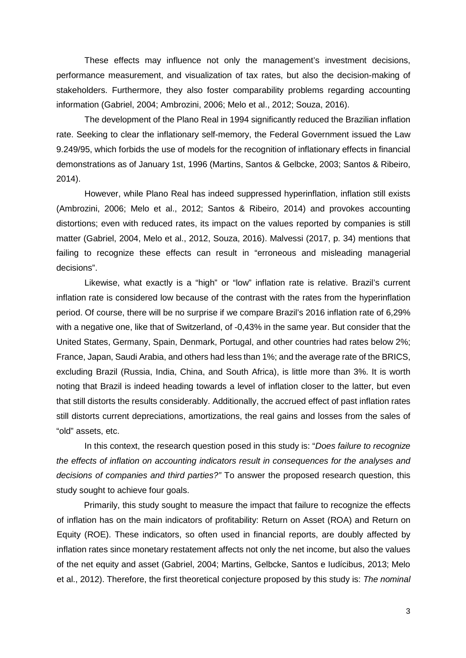These effects may influence not only the management's investment decisions, performance measurement, and visualization of tax rates, but also the decision-making of stakeholders. Furthermore, they also foster comparability problems regarding accounting information (Gabriel, 2004; Ambrozini, 2006; Melo et al., 2012; Souza, 2016).

The development of the Plano Real in 1994 significantly reduced the Brazilian inflation rate. Seeking to clear the inflationary self-memory, the Federal Government issued the Law 9.249/95, which forbids the use of models for the recognition of inflationary effects in financial demonstrations as of January 1st, 1996 (Martins, Santos & Gelbcke, 2003; Santos & Ribeiro, 2014).

However, while Plano Real has indeed suppressed hyperinflation, inflation still exists (Ambrozini, 2006; Melo et al., 2012; Santos & Ribeiro, 2014) and provokes accounting distortions; even with reduced rates, its impact on the values reported by companies is still matter (Gabriel, 2004, Melo et al., 2012, Souza, 2016). Malvessi (2017, p. 34) mentions that failing to recognize these effects can result in "erroneous and misleading managerial decisions".

Likewise, what exactly is a "high" or "low" inflation rate is relative. Brazil's current inflation rate is considered low because of the contrast with the rates from the hyperinflation period. Of course, there will be no surprise if we compare Brazil's 2016 inflation rate of 6,29% with a negative one, like that of Switzerland, of -0,43% in the same year. But consider that the United States, Germany, Spain, Denmark, Portugal, and other countries had rates below 2%; France, Japan, Saudi Arabia, and others had less than 1%; and the average rate of the BRICS, excluding Brazil (Russia, India, China, and South Africa), is little more than 3%. It is worth noting that Brazil is indeed heading towards a level of inflation closer to the latter, but even that still distorts the results considerably. Additionally, the accrued effect of past inflation rates still distorts current depreciations, amortizations, the real gains and losses from the sales of "old" assets, etc.

In this context, the research question posed in this study is: "*Does failure to recognize the effects of inflation on accounting indicators result in consequences for the analyses and decisions of companies and third parties?"* To answer the proposed research question, this study sought to achieve four goals.

Primarily, this study sought to measure the impact that failure to recognize the effects of inflation has on the main indicators of profitability: Return on Asset (ROA) and Return on Equity (ROE). These indicators, so often used in financial reports, are doubly affected by inflation rates since monetary restatement affects not only the net income, but also the values of the net equity and asset (Gabriel, 2004; Martins, Gelbcke, Santos e Iudícibus, 2013; Melo et al., 2012). Therefore, the first theoretical conjecture proposed by this study is: *The nominal*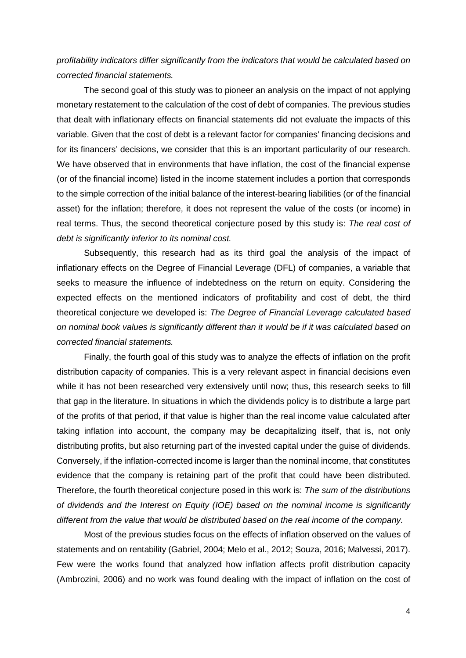*profitability indicators differ significantly from the indicators that would be calculated based on corrected financial statements.*

The second goal of this study was to pioneer an analysis on the impact of not applying monetary restatement to the calculation of the cost of debt of companies. The previous studies that dealt with inflationary effects on financial statements did not evaluate the impacts of this variable. Given that the cost of debt is a relevant factor for companies' financing decisions and for its financers' decisions, we consider that this is an important particularity of our research. We have observed that in environments that have inflation, the cost of the financial expense (or of the financial income) listed in the income statement includes a portion that corresponds to the simple correction of the initial balance of the interest-bearing liabilities (or of the financial asset) for the inflation; therefore, it does not represent the value of the costs (or income) in real terms. Thus, the second theoretical conjecture posed by this study is: *The real cost of debt is significantly inferior to its nominal cost.*

Subsequently, this research had as its third goal the analysis of the impact of inflationary effects on the Degree of Financial Leverage (DFL) of companies, a variable that seeks to measure the influence of indebtedness on the return on equity. Considering the expected effects on the mentioned indicators of profitability and cost of debt, the third theoretical conjecture we developed is: *The Degree of Financial Leverage calculated based on nominal book values is significantly different than it would be if it was calculated based on corrected financial statements.*

Finally, the fourth goal of this study was to analyze the effects of inflation on the profit distribution capacity of companies. This is a very relevant aspect in financial decisions even while it has not been researched very extensively until now; thus, this research seeks to fill that gap in the literature. In situations in which the dividends policy is to distribute a large part of the profits of that period, if that value is higher than the real income value calculated after taking inflation into account, the company may be decapitalizing itself, that is, not only distributing profits, but also returning part of the invested capital under the guise of dividends. Conversely, if the inflation-corrected income is larger than the nominal income, that constitutes evidence that the company is retaining part of the profit that could have been distributed. Therefore, the fourth theoretical conjecture posed in this work is: *The sum of the distributions of dividends and the Interest on Equity (IOE) based on the nominal income is significantly different from the value that would be distributed based on the real income of the company.*

Most of the previous studies focus on the effects of inflation observed on the values of statements and on rentability (Gabriel, 2004; Melo et al., 2012; Souza, 2016; Malvessi, 2017). Few were the works found that analyzed how inflation affects profit distribution capacity (Ambrozini, 2006) and no work was found dealing with the impact of inflation on the cost of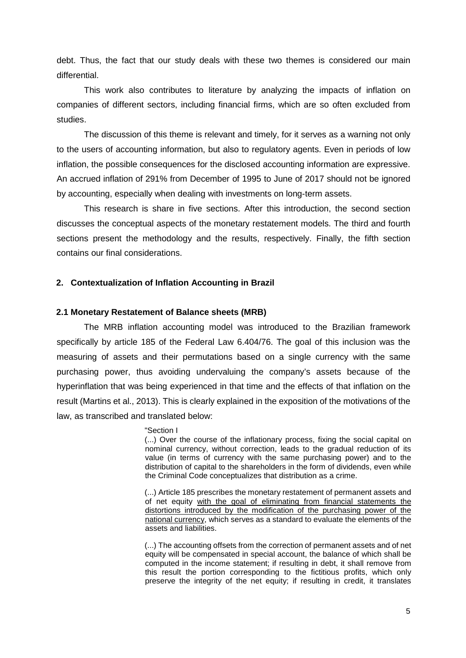debt. Thus, the fact that our study deals with these two themes is considered our main differential.

This work also contributes to literature by analyzing the impacts of inflation on companies of different sectors, including financial firms, which are so often excluded from studies.

The discussion of this theme is relevant and timely, for it serves as a warning not only to the users of accounting information, but also to regulatory agents. Even in periods of low inflation, the possible consequences for the disclosed accounting information are expressive. An accrued inflation of 291% from December of 1995 to June of 2017 should not be ignored by accounting, especially when dealing with investments on long-term assets.

This research is share in five sections. After this introduction, the second section discusses the conceptual aspects of the monetary restatement models. The third and fourth sections present the methodology and the results, respectively. Finally, the fifth section contains our final considerations.

### **2. Contextualization of Inflation Accounting in Brazil**

### **2.1 Monetary Restatement of Balance sheets (MRB)**

The MRB inflation accounting model was introduced to the Brazilian framework specifically by article 185 of the Federal Law 6.404/76. The goal of this inclusion was the measuring of assets and their permutations based on a single currency with the same purchasing power, thus avoiding undervaluing the company's assets because of the hyperinflation that was being experienced in that time and the effects of that inflation on the result (Martins et al., 2013). This is clearly explained in the exposition of the motivations of the law, as transcribed and translated below:

#### "Section I

(...) Over the course of the inflationary process, fixing the social capital on nominal currency, without correction, leads to the gradual reduction of its value (in terms of currency with the same purchasing power) and to the distribution of capital to the shareholders in the form of dividends, even while the Criminal Code conceptualizes that distribution as a crime.

(...) Article 185 prescribes the monetary restatement of permanent assets and of net equity with the goal of eliminating from financial statements the distortions introduced by the modification of the purchasing power of the national currency, which serves as a standard to evaluate the elements of the assets and liabilities.

(...) The accounting offsets from the correction of permanent assets and of net equity will be compensated in special account, the balance of which shall be computed in the income statement; if resulting in debt, it shall remove from this result the portion corresponding to the fictitious profits, which only preserve the integrity of the net equity; if resulting in credit, it translates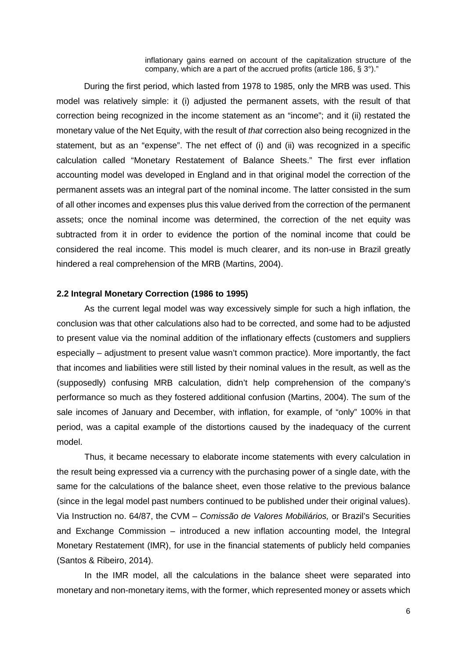inflationary gains earned on account of the capitalization structure of the company, which are a part of the accrued profits (article 186, § 3°)."

During the first period, which lasted from 1978 to 1985, only the MRB was used. This model was relatively simple: it (i) adjusted the permanent assets, with the result of that correction being recognized in the income statement as an "income"; and it (ii) restated the monetary value of the Net Equity, with the result of *that* correction also being recognized in the statement, but as an "expense". The net effect of (i) and (ii) was recognized in a specific calculation called "Monetary Restatement of Balance Sheets." The first ever inflation accounting model was developed in England and in that original model the correction of the permanent assets was an integral part of the nominal income. The latter consisted in the sum of all other incomes and expenses plus this value derived from the correction of the permanent assets; once the nominal income was determined, the correction of the net equity was subtracted from it in order to evidence the portion of the nominal income that could be considered the real income. This model is much clearer, and its non-use in Brazil greatly hindered a real comprehension of the MRB (Martins, 2004).

### **2.2 Integral Monetary Correction (1986 to 1995)**

As the current legal model was way excessively simple for such a high inflation, the conclusion was that other calculations also had to be corrected, and some had to be adjusted to present value via the nominal addition of the inflationary effects (customers and suppliers especially – adjustment to present value wasn't common practice). More importantly, the fact that incomes and liabilities were still listed by their nominal values in the result, as well as the (supposedly) confusing MRB calculation, didn't help comprehension of the company's performance so much as they fostered additional confusion (Martins, 2004). The sum of the sale incomes of January and December, with inflation, for example, of "only" 100% in that period, was a capital example of the distortions caused by the inadequacy of the current model.

Thus, it became necessary to elaborate income statements with every calculation in the result being expressed via a currency with the purchasing power of a single date, with the same for the calculations of the balance sheet, even those relative to the previous balance (since in the legal model past numbers continued to be published under their original values). Via Instruction no. 64/87, the CVM – *Comissão de Valores Mobiliários,* or Brazil's Securities and Exchange Commission – introduced a new inflation accounting model, the Integral Monetary Restatement (IMR), for use in the financial statements of publicly held companies (Santos & Ribeiro, 2014).

In the IMR model, all the calculations in the balance sheet were separated into monetary and non-monetary items, with the former, which represented money or assets which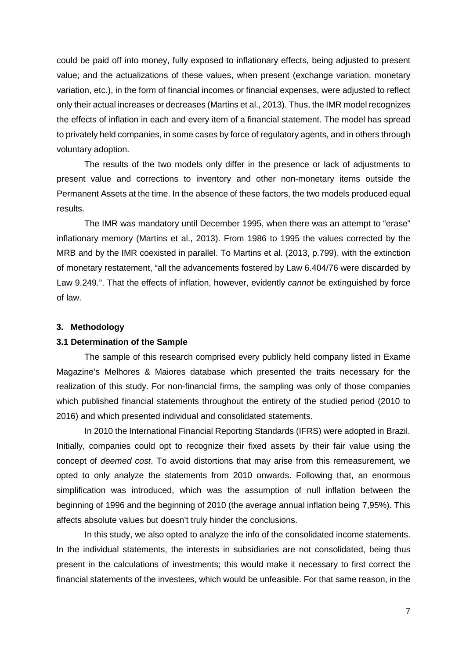could be paid off into money, fully exposed to inflationary effects, being adjusted to present value; and the actualizations of these values, when present (exchange variation, monetary variation, etc.), in the form of financial incomes or financial expenses, were adjusted to reflect only their actual increases or decreases (Martins et al., 2013). Thus, the IMR model recognizes the effects of inflation in each and every item of a financial statement. The model has spread to privately held companies, in some cases by force of regulatory agents, and in others through voluntary adoption.

The results of the two models only differ in the presence or lack of adjustments to present value and corrections to inventory and other non-monetary items outside the Permanent Assets at the time. In the absence of these factors, the two models produced equal results.

The IMR was mandatory until December 1995, when there was an attempt to "erase" inflationary memory (Martins et al., 2013). From 1986 to 1995 the values corrected by the MRB and by the IMR coexisted in parallel. To Martins et al. (2013, p.799), with the extinction of monetary restatement, "all the advancements fostered by Law 6.404/76 were discarded by Law 9.249.". That the effects of inflation, however, evidently *cannot* be extinguished by force of law.

### **3. Methodology**

### **3.1 Determination of the Sample**

The sample of this research comprised every publicly held company listed in Exame Magazine's Melhores & Maiores database which presented the traits necessary for the realization of this study. For non-financial firms, the sampling was only of those companies which published financial statements throughout the entirety of the studied period (2010 to 2016) and which presented individual and consolidated statements.

In 2010 the International Financial Reporting Standards (IFRS) were adopted in Brazil. Initially, companies could opt to recognize their fixed assets by their fair value using the concept of *deemed cost*. To avoid distortions that may arise from this remeasurement, we opted to only analyze the statements from 2010 onwards. Following that, an enormous simplification was introduced, which was the assumption of null inflation between the beginning of 1996 and the beginning of 2010 (the average annual inflation being 7,95%). This affects absolute values but doesn't truly hinder the conclusions.

In this study, we also opted to analyze the info of the consolidated income statements. In the individual statements, the interests in subsidiaries are not consolidated, being thus present in the calculations of investments; this would make it necessary to first correct the financial statements of the investees, which would be unfeasible. For that same reason, in the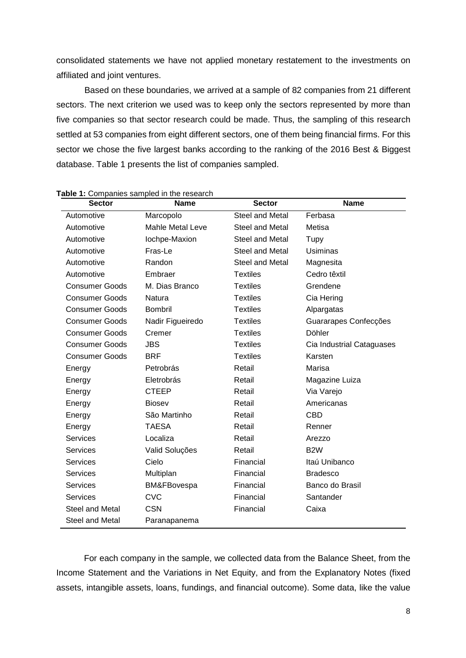consolidated statements we have not applied monetary restatement to the investments on affiliated and joint ventures.

Based on these boundaries, we arrived at a sample of 82 companies from 21 different sectors. The next criterion we used was to keep only the sectors represented by more than five companies so that sector research could be made. Thus, the sampling of this research settled at 53 companies from eight different sectors, one of them being financial firms. For this sector we chose the five largest banks according to the ranking of the 2016 Best & Biggest database. Table 1 presents the list of companies sampled.

| <b>Sector</b>         | <b>Name</b>             | <b>Sector</b>   | <b>Name</b>               |
|-----------------------|-------------------------|-----------------|---------------------------|
| Automotive            | Marcopolo               | Steel and Metal | Ferbasa                   |
| Automotive            | <b>Mahle Metal Leve</b> | Steel and Metal | Metisa                    |
| Automotive            | lochpe-Maxion           | Steel and Metal | Tupy                      |
| Automotive            | Fras-Le                 | Steel and Metal | <b>Usiminas</b>           |
| Automotive            | Randon                  | Steel and Metal | Magnesita                 |
| Automotive            | Embraer                 | <b>Textiles</b> | Cedro têxtil              |
| <b>Consumer Goods</b> | M. Dias Branco          | <b>Textiles</b> | Grendene                  |
| <b>Consumer Goods</b> | Natura                  | <b>Textiles</b> | Cia Hering                |
| <b>Consumer Goods</b> | <b>Bombril</b>          | <b>Textiles</b> | Alpargatas                |
| <b>Consumer Goods</b> | Nadir Figueiredo        | <b>Textiles</b> | Guararapes Confecções     |
| <b>Consumer Goods</b> | Cremer                  | <b>Textiles</b> | Döhler                    |
| <b>Consumer Goods</b> | JBS                     | <b>Textiles</b> | Cia Industrial Cataguases |
| <b>Consumer Goods</b> | <b>BRF</b>              | <b>Textiles</b> | Karsten                   |
| Energy                | Petrobrás               | Retail          | Marisa                    |
| Energy                | Eletrobrás              | Retail          | Magazine Luiza            |
| Energy                | <b>CTEEP</b>            | Retail          | Via Varejo                |
| Energy                | <b>Biosev</b>           | Retail          | Americanas                |
| Energy                | São Martinho            | Retail          | <b>CBD</b>                |
| Energy                | <b>TAESA</b>            | Retail          | Renner                    |
| <b>Services</b>       | Localiza                | Retail          | Arezzo                    |
| <b>Services</b>       | Valid Soluções          | Retail          | B <sub>2</sub> W          |
| <b>Services</b>       | Cielo                   | Financial       | Itaú Unibanco             |
| <b>Services</b>       | Multiplan               | Financial       | <b>Bradesco</b>           |
| <b>Services</b>       | BM&FBovespa             | Financial       | Banco do Brasil           |
| <b>Services</b>       | <b>CVC</b>              | Financial       | Santander                 |
| Steel and Metal       | <b>CSN</b>              | Financial       | Caixa                     |
| Steel and Metal       | Paranapanema            |                 |                           |

# **Table 1:** Companies sampled in the research

For each company in the sample, we collected data from the Balance Sheet, from the Income Statement and the Variations in Net Equity, and from the Explanatory Notes (fixed assets, intangible assets, loans, fundings, and financial outcome). Some data, like the value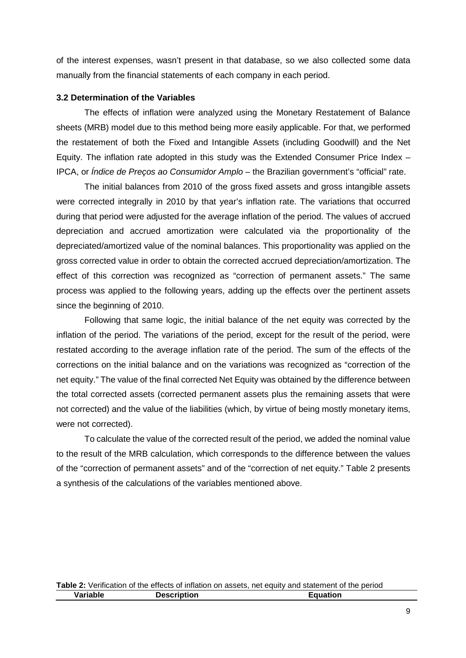of the interest expenses, wasn't present in that database, so we also collected some data manually from the financial statements of each company in each period.

# **3.2 Determination of the Variables**

The effects of inflation were analyzed using the Monetary Restatement of Balance sheets (MRB) model due to this method being more easily applicable. For that, we performed the restatement of both the Fixed and Intangible Assets (including Goodwill) and the Net Equity. The inflation rate adopted in this study was the Extended Consumer Price Index – IPCA, or *Índice de Preços ao Consumidor Amplo* – the Brazilian government's "official" rate.

The initial balances from 2010 of the gross fixed assets and gross intangible assets were corrected integrally in 2010 by that year's inflation rate. The variations that occurred during that period were adjusted for the average inflation of the period. The values of accrued depreciation and accrued amortization were calculated via the proportionality of the depreciated/amortized value of the nominal balances. This proportionality was applied on the gross corrected value in order to obtain the corrected accrued depreciation/amortization. The effect of this correction was recognized as "correction of permanent assets." The same process was applied to the following years, adding up the effects over the pertinent assets since the beginning of 2010.

Following that same logic, the initial balance of the net equity was corrected by the inflation of the period. The variations of the period, except for the result of the period, were restated according to the average inflation rate of the period. The sum of the effects of the corrections on the initial balance and on the variations was recognized as "correction of the net equity." The value of the final corrected Net Equity was obtained by the difference between the total corrected assets (corrected permanent assets plus the remaining assets that were not corrected) and the value of the liabilities (which, by virtue of being mostly monetary items, were not corrected).

To calculate the value of the corrected result of the period, we added the nominal value to the result of the MRB calculation, which corresponds to the difference between the values of the "correction of permanent assets" and of the "correction of net equity." Table 2 presents a synthesis of the calculations of the variables mentioned above.

|          |                    | Table 2: Verification of the effects of inflation on assets, net equity and statement of the period |
|----------|--------------------|-----------------------------------------------------------------------------------------------------|
| Variable | <b>Description</b> | <b>Equation</b>                                                                                     |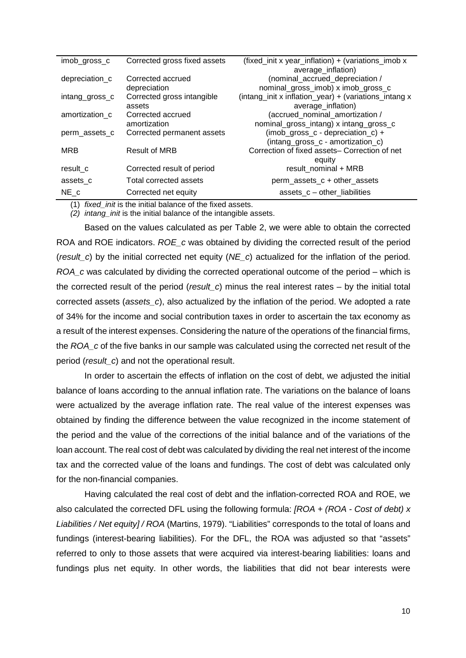| imob_gross_c   | Corrected gross fixed assets | (fixed_init x year_inflation) + (variations_imob x    |
|----------------|------------------------------|-------------------------------------------------------|
|                |                              | average_inflation)                                    |
| depreciation_c | Corrected accrued            | (nominal_accrued_depreciation /                       |
|                | depreciation                 | nominal_gross_imob) x imob_gross_c                    |
| intang_gross_c | Corrected gross intangible   | (intang_init x inflation_year) + (variations_intang x |
|                | assets                       | average_inflation)                                    |
| amortization c | Corrected accrued            | (accrued_nominal_amortization /                       |
|                | amortization                 | nominal_gross_intang) x intang_gross_c                |
| perm assets c  | Corrected permanent assets   | (imob_gross_c - depreciation_c) +                     |
|                |                              | (intang_gross_c - amortization_c)                     |
| <b>MRB</b>     | <b>Result of MRB</b>         | Correction of fixed assets- Correction of net         |
|                |                              | equity                                                |
| result c       | Corrected result of period   | result nominal + MRB                                  |
| assets_c       | Total corrected assets       | perm_assets_c + other_assets                          |
| NE c           | Corrected net equity         | assets $c$ – other liabilities                        |

(1) *fixed\_init* is the initial balance of the fixed assets.

*(2) intang\_init* is the initial balance of the intangible assets.

Based on the values calculated as per Table 2, we were able to obtain the corrected ROA and ROE indicators. *ROE\_c* was obtained by dividing the corrected result of the period (*result\_c*) by the initial corrected net equity (*NE\_c*) actualized for the inflation of the period. *ROA\_c* was calculated by dividing the corrected operational outcome of the period – which is the corrected result of the period (*result\_c*) minus the real interest rates – by the initial total corrected assets (*assets\_c*), also actualized by the inflation of the period. We adopted a rate of 34% for the income and social contribution taxes in order to ascertain the tax economy as a result of the interest expenses. Considering the nature of the operations of the financial firms, the *ROA\_c* of the five banks in our sample was calculated using the corrected net result of the period (*result\_c*) and not the operational result.

In order to ascertain the effects of inflation on the cost of debt, we adjusted the initial balance of loans according to the annual inflation rate. The variations on the balance of loans were actualized by the average inflation rate. The real value of the interest expenses was obtained by finding the difference between the value recognized in the income statement of the period and the value of the corrections of the initial balance and of the variations of the loan account. The real cost of debt was calculated by dividing the real net interest of the income tax and the corrected value of the loans and fundings. The cost of debt was calculated only for the non-financial companies.

Having calculated the real cost of debt and the inflation-corrected ROA and ROE, we also calculated the corrected DFL using the following formula: *[ROA + (ROA - Cost of debt) x Liabilities / Net equity] / ROA* (Martins, 1979). "Liabilities" corresponds to the total of loans and fundings (interest-bearing liabilities). For the DFL, the ROA was adjusted so that "assets" referred to only to those assets that were acquired via interest-bearing liabilities: loans and fundings plus net equity. In other words, the liabilities that did not bear interests were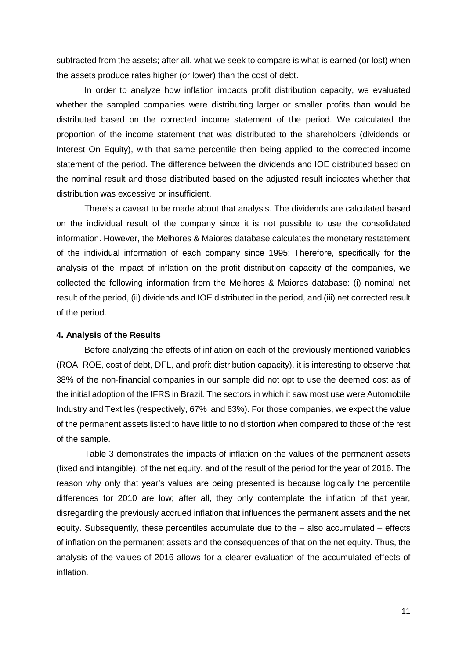subtracted from the assets; after all, what we seek to compare is what is earned (or lost) when the assets produce rates higher (or lower) than the cost of debt.

In order to analyze how inflation impacts profit distribution capacity, we evaluated whether the sampled companies were distributing larger or smaller profits than would be distributed based on the corrected income statement of the period. We calculated the proportion of the income statement that was distributed to the shareholders (dividends or Interest On Equity), with that same percentile then being applied to the corrected income statement of the period. The difference between the dividends and IOE distributed based on the nominal result and those distributed based on the adjusted result indicates whether that distribution was excessive or insufficient.

There's a caveat to be made about that analysis. The dividends are calculated based on the individual result of the company since it is not possible to use the consolidated information. However, the Melhores & Maiores database calculates the monetary restatement of the individual information of each company since 1995; Therefore, specifically for the analysis of the impact of inflation on the profit distribution capacity of the companies, we collected the following information from the Melhores & Maiores database: (i) nominal net result of the period, (ii) dividends and IOE distributed in the period, and (iii) net corrected result of the period.

#### **4. Analysis of the Results**

Before analyzing the effects of inflation on each of the previously mentioned variables (ROA, ROE, cost of debt, DFL, and profit distribution capacity), it is interesting to observe that 38% of the non-financial companies in our sample did not opt to use the deemed cost as of the initial adoption of the IFRS in Brazil. The sectors in which it saw most use were Automobile Industry and Textiles (respectively, 67% and 63%). For those companies, we expect the value of the permanent assets listed to have little to no distortion when compared to those of the rest of the sample.

Table 3 demonstrates the impacts of inflation on the values of the permanent assets (fixed and intangible), of the net equity, and of the result of the period for the year of 2016. The reason why only that year's values are being presented is because logically the percentile differences for 2010 are low; after all, they only contemplate the inflation of that year, disregarding the previously accrued inflation that influences the permanent assets and the net equity. Subsequently, these percentiles accumulate due to the – also accumulated – effects of inflation on the permanent assets and the consequences of that on the net equity. Thus, the analysis of the values of 2016 allows for a clearer evaluation of the accumulated effects of inflation.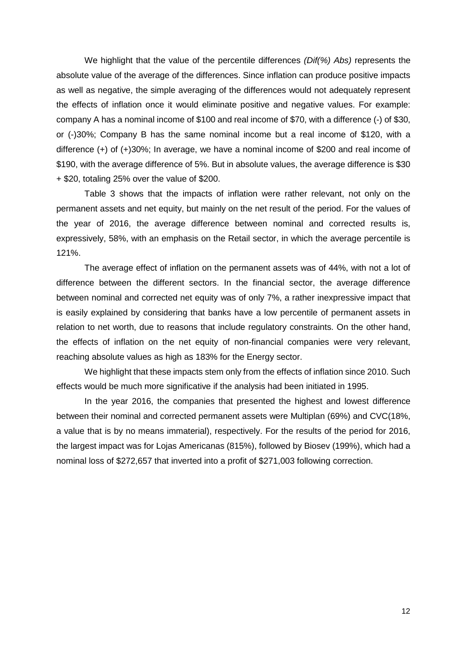We highlight that the value of the percentile differences *(Dif(%) Abs)* represents the absolute value of the average of the differences. Since inflation can produce positive impacts as well as negative, the simple averaging of the differences would not adequately represent the effects of inflation once it would eliminate positive and negative values. For example: company A has a nominal income of \$100 and real income of \$70, with a difference (-) of \$30, or (-)30%; Company B has the same nominal income but a real income of \$120, with a difference (+) of (+)30%; In average, we have a nominal income of \$200 and real income of \$190, with the average difference of 5%. But in absolute values, the average difference is \$30 + \$20, totaling 25% over the value of \$200.

Table 3 shows that the impacts of inflation were rather relevant, not only on the permanent assets and net equity, but mainly on the net result of the period. For the values of the year of 2016, the average difference between nominal and corrected results is, expressively, 58%, with an emphasis on the Retail sector, in which the average percentile is 121%.

The average effect of inflation on the permanent assets was of 44%, with not a lot of difference between the different sectors. In the financial sector, the average difference between nominal and corrected net equity was of only 7%, a rather inexpressive impact that is easily explained by considering that banks have a low percentile of permanent assets in relation to net worth, due to reasons that include regulatory constraints. On the other hand, the effects of inflation on the net equity of non-financial companies were very relevant, reaching absolute values as high as 183% for the Energy sector.

We highlight that these impacts stem only from the effects of inflation since 2010. Such effects would be much more significative if the analysis had been initiated in 1995.

In the year 2016, the companies that presented the highest and lowest difference between their nominal and corrected permanent assets were Multiplan (69%) and CVC(18%, a value that is by no means immaterial), respectively. For the results of the period for 2016, the largest impact was for Lojas Americanas (815%), followed by Biosev (199%), which had a nominal loss of \$272,657 that inverted into a profit of \$271,003 following correction.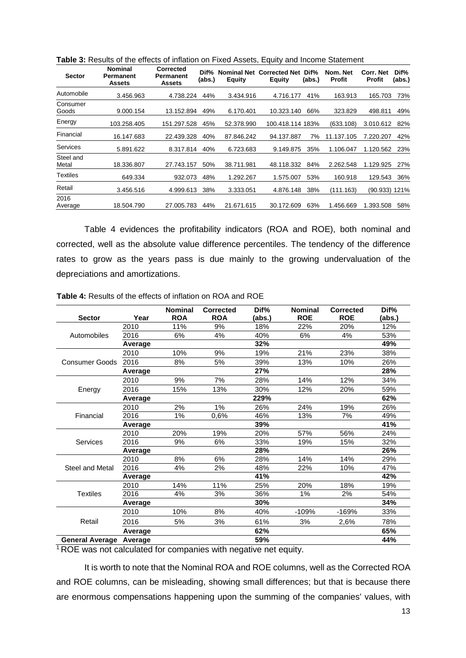| <b>Sector</b>      | <b>Nominal</b><br>Permanent<br><b>Assets</b> | <b>Corrected</b><br>Permanent<br><b>Assets</b> | Dif%<br>(abs.) | <b>Nominal Net</b><br><b>Equity</b> | <b>Corrected Net</b><br><b>Equity</b> | Dif%<br>(abs.) | Nom. Net<br><b>Profit</b> | Corr. Net<br><b>Profit</b> | Dif%<br>(abs.) |
|--------------------|----------------------------------------------|------------------------------------------------|----------------|-------------------------------------|---------------------------------------|----------------|---------------------------|----------------------------|----------------|
| Automobile         | 3.456.963                                    | 4.738.224                                      | 44%            | 3.434.916                           | 4.716.177                             | 41%            | 163.913                   | 165.703                    | 73%            |
| Consumer<br>Goods  | 9.000.154                                    | 13.152.894                                     | 49%            | 6.170.401                           | 10.323.140                            | 66%            | 323.829                   | 498.811                    | 49%            |
| Energy             | 103.258.405                                  | 151.297.528                                    | 45%            | 52.378.990                          | 100.418.114 183%                      |                | (633.108)                 | 3.010.612                  | 82%            |
| Financial          | 16.147.683                                   | 22.439.328                                     | 40%            | 87.846.242                          | 94.137.887                            | 7%             | 11.137.105                | 7.220.207                  | 42%            |
| <b>Services</b>    | 5.891.622                                    | 8.317.814                                      | 40%            | 6.723.683                           | 9.149.875                             | 35%            | 1.106.047                 | 1.120.562                  | 23%            |
| Steel and<br>Metal | 18.336.807                                   | 27.743.157                                     | 50%            | 38.711.981                          | 48.118.332                            | 84%            | 2.262.548                 | 1.129.925                  | 27%            |
| <b>Textiles</b>    | 649.334                                      | 932.073                                        | 48%            | 1.292.267                           | 1.575.007                             | 53%            | 160.918                   | 129.543                    | 36%            |
| Retail             | 3.456.516                                    | 4.999.613                                      | 38%            | 3.333.051                           | 4.876.148                             | 38%            | (111.163)                 | (90.933)                   | 121%           |
| 2016<br>Average    | 18.504.790                                   | 27.005.783                                     | 44%            | 21.671.615                          | 30.172.609                            | 63%            | 1.456.669                 | 1.393.508                  | 58%            |

**Table 3:** Results of the effects of inflation on Fixed Assets, Equity and Income Statement

Table 4 evidences the profitability indicators (ROA and ROE), both nominal and corrected, well as the absolute value difference percentiles. The tendency of the difference rates to grow as the years pass is due mainly to the growing undervaluation of the depreciations and amortizations.

|                                |         | <b>Nominal</b> | <b>Corrected</b> | Dif%   | <b>Nominal</b> | <b>Corrected</b> | Dif%   |
|--------------------------------|---------|----------------|------------------|--------|----------------|------------------|--------|
| <b>Sector</b>                  | Year    | <b>ROA</b>     | <b>ROA</b>       | (abs.) | <b>ROE</b>     | <b>ROE</b>       | (abs.) |
|                                | 2010    | 11%            | 9%               | 18%    | 22%            | 20%              | 12%    |
| Automobiles                    | 2016    | 6%             | 4%               | 40%    | 6%             | 4%               | 53%    |
|                                | Average |                |                  | 32%    |                |                  | 49%    |
|                                | 2010    | 10%            | 9%               | 19%    | 21%            | 23%              | 38%    |
| <b>Consumer Goods</b>          | 2016    | 8%             | 5%               | 39%    | 13%            | 10%              | 26%    |
|                                | Average |                |                  | 27%    |                |                  | 28%    |
|                                | 2010    | 9%             | 7%               | 28%    | 14%            | 12%              | 34%    |
| Energy                         | 2016    | 15%            | 13%              | 30%    | 12%            | 20%              | 59%    |
|                                | Average |                |                  | 229%   |                |                  | 62%    |
|                                | 2010    | 2%             | 1%               | 26%    | 24%            | 19%              | 26%    |
| Financial                      | 2016    | $1\%$          | 0,6%             | 46%    | 13%            | 7%               | 49%    |
|                                | Average |                |                  | 39%    |                |                  | 41%    |
|                                | 2010    | 20%            | 19%              | 20%    | 57%            | 56%              | 24%    |
| Services                       | 2016    | 9%             | 6%               | 33%    | 19%            | 15%              | 32%    |
|                                | Average |                |                  | 28%    |                |                  | 26%    |
|                                | 2010    | 8%             | 6%               | 28%    | 14%            | 14%              | 29%    |
| <b>Steel and Metal</b>         | 2016    | 4%             | 2%               | 48%    | 22%            | 10%              | 47%    |
|                                | Average |                |                  | 41%    |                |                  | 42%    |
|                                | 2010    | 14%            | 11%              | 25%    | 20%            | 18%              | 19%    |
| <b>Textiles</b>                | 2016    | 4%             | 3%               | 36%    | 1%             | 2%               | 54%    |
|                                | Average |                |                  | 30%    |                |                  | 34%    |
|                                | 2010    | 10%            | 8%               | 40%    | $-109%$        | -169%            | 33%    |
| Retail                         | 2016    | 5%             | 3%               | 61%    | 3%             | 2,6%             | 78%    |
|                                | Average |                |                  | 62%    |                |                  | 65%    |
| <b>General Average Average</b> |         |                |                  | 59%    |                |                  | 44%    |

**Table 4:** Results of the effects of inflation on ROA and ROE

<sup>1</sup> ROE was not calculated for companies with negative net equity.

It is worth to note that the Nominal ROA and ROE columns, well as the Corrected ROA and ROE columns, can be misleading, showing small differences; but that is because there are enormous compensations happening upon the summing of the companies' values, with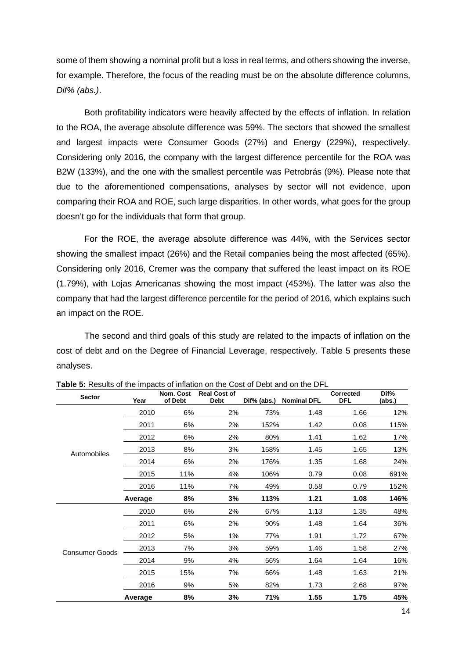some of them showing a nominal profit but a loss in real terms, and others showing the inverse, for example. Therefore, the focus of the reading must be on the absolute difference columns, *Dif% (abs.)*.

Both profitability indicators were heavily affected by the effects of inflation. In relation to the ROA, the average absolute difference was 59%. The sectors that showed the smallest and largest impacts were Consumer Goods (27%) and Energy (229%), respectively. Considering only 2016, the company with the largest difference percentile for the ROA was B2W (133%), and the one with the smallest percentile was Petrobrás (9%). Please note that due to the aforementioned compensations, analyses by sector will not evidence, upon comparing their ROA and ROE, such large disparities. In other words, what goes for the group doesn't go for the individuals that form that group.

For the ROE, the average absolute difference was 44%, with the Services sector showing the smallest impact (26%) and the Retail companies being the most affected (65%). Considering only 2016, Cremer was the company that suffered the least impact on its ROE (1.79%), with Lojas Americanas showing the most impact (453%). The latter was also the company that had the largest difference percentile for the period of 2016, which explains such an impact on the ROE.

The second and third goals of this study are related to the impacts of inflation on the cost of debt and on the Degree of Financial Leverage, respectively. Table 5 presents these analyses.

| <b>Sector</b>         | Year    | Nom. Cost<br>of Debt | <b>Real Cost of</b><br><b>Debt</b> | Dif% (abs.) | <b>Nominal DFL</b> | Corrected<br><b>DFL</b> | Dif%<br>(abs.) |
|-----------------------|---------|----------------------|------------------------------------|-------------|--------------------|-------------------------|----------------|
|                       | 2010    | 6%                   | 2%                                 | 73%         | 1.48               | 1.66                    | 12%            |
| Automobiles           | 2011    | 6%                   | 2%                                 | 152%        | 1.42               | 0.08                    | 115%           |
|                       | 2012    | 6%                   | 2%                                 | 80%         | 1.41               | 1.62                    | 17%            |
|                       | 2013    | 8%                   | 3%                                 | 158%        | 1.45               | 1.65                    | 13%            |
|                       | 2014    | 6%                   | 2%                                 | 176%        | 1.35               | 1.68                    | 24%            |
|                       | 2015    | 11%                  | 4%                                 | 106%        | 0.79               | 0.08                    | 691%           |
|                       | 2016    | 11%                  | 7%                                 | 49%         | 0.58               | 0.79                    | 152%           |
|                       | Average | 8%                   | 3%                                 | 113%        | 1.21               | 1.08                    | 146%           |
| <b>Consumer Goods</b> | 2010    | 6%                   | 2%                                 | 67%         | 1.13               | 1.35                    | 48%            |
|                       | 2011    | 6%                   | 2%                                 | 90%         | 1.48               | 1.64                    | 36%            |
|                       | 2012    | 5%                   | $1\%$                              | 77%         | 1.91               | 1.72                    | 67%            |
|                       | 2013    | 7%                   | 3%                                 | 59%         | 1.46               | 1.58                    | 27%            |
|                       | 2014    | 9%                   | 4%                                 | 56%         | 1.64               | 1.64                    | 16%            |
|                       | 2015    | 15%                  | 7%                                 | 66%         | 1.48               | 1.63                    | 21%            |
|                       | 2016    | 9%                   | 5%                                 | 82%         | 1.73               | 2.68                    | 97%            |
|                       | Average | 8%                   | 3%                                 | 71%         | 1.55               | 1.75                    | 45%            |

**Table 5:** Results of the impacts of inflation on the Cost of Debt and on the DFL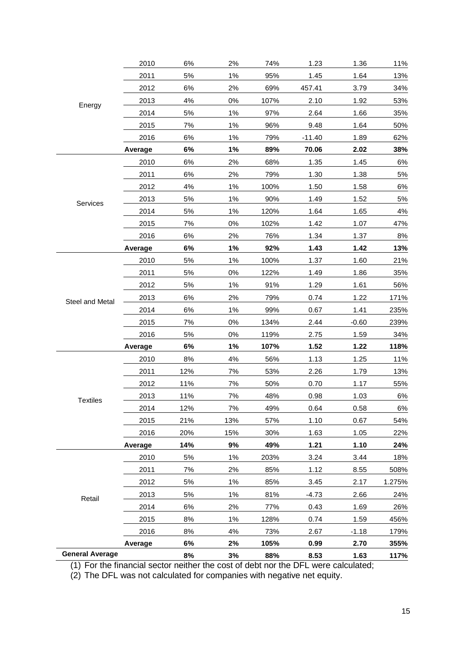|                        | 2010    | 6%    | 2%    | 74%  | 1.23     | 1.36    | 11%    |
|------------------------|---------|-------|-------|------|----------|---------|--------|
|                        | 2011    | 5%    | 1%    | 95%  | 1.45     | 1.64    | 13%    |
|                        | 2012    | 6%    | 2%    | 69%  | 457.41   | 3.79    | 34%    |
| Energy                 | 2013    | 4%    | 0%    | 107% | 2.10     | 1.92    | 53%    |
|                        | 2014    | 5%    | $1\%$ | 97%  | 2.64     | 1.66    | 35%    |
|                        | 2015    | 7%    | 1%    | 96%  | 9.48     | 1.64    | 50%    |
|                        | 2016    | $6\%$ | 1%    | 79%  | $-11.40$ | 1.89    | 62%    |
|                        | Average | 6%    | 1%    | 89%  | 70.06    | 2.02    | 38%    |
|                        | 2010    | 6%    | 2%    | 68%  | 1.35     | 1.45    | 6%     |
|                        | 2011    | 6%    | 2%    | 79%  | 1.30     | 1.38    | 5%     |
|                        | 2012    | 4%    | 1%    | 100% | 1.50     | 1.58    | 6%     |
| Services               | 2013    | 5%    | 1%    | 90%  | 1.49     | 1.52    | 5%     |
|                        | 2014    | 5%    | 1%    | 120% | 1.64     | 1.65    | 4%     |
|                        | 2015    | 7%    | $0\%$ | 102% | 1.42     | 1.07    | 47%    |
|                        | 2016    | 6%    | 2%    | 76%  | 1.34     | 1.37    | 8%     |
|                        | Average | 6%    | 1%    | 92%  | 1.43     | 1.42    | 13%    |
|                        | 2010    | 5%    | 1%    | 100% | 1.37     | 1.60    | 21%    |
|                        | 2011    | 5%    | 0%    | 122% | 1.49     | 1.86    | 35%    |
|                        | 2012    | 5%    | 1%    | 91%  | 1.29     | 1.61    | 56%    |
| Steel and Metal        | 2013    | 6%    | 2%    | 79%  | 0.74     | 1.22    | 171%   |
|                        | 2014    | 6%    | 1%    | 99%  | 0.67     | 1.41    | 235%   |
|                        | 2015    | 7%    | 0%    | 134% | 2.44     | $-0.60$ | 239%   |
|                        | 2016    | 5%    | 0%    | 119% | 2.75     | 1.59    | 34%    |
|                        | Average | 6%    | 1%    | 107% | 1.52     | 1.22    | 118%   |
|                        | 2010    | 8%    | 4%    | 56%  | 1.13     | 1.25    | 11%    |
|                        | 2011    | 12%   | 7%    | 53%  | 2.26     | 1.79    | 13%    |
|                        | 2012    | 11%   | 7%    | 50%  | 0.70     | 1.17    | 55%    |
| <b>Textiles</b>        | 2013    | 11%   | 7%    | 48%  | 0.98     | 1.03    | 6%     |
|                        | 2014    | 12%   | $7\%$ | 49%  | 0.64     | 0.58    | 6%     |
|                        | 2015    | 21%   | 13%   | 57%  | 1.10     | 0.67    | 54%    |
|                        | 2016    | 20%   | 15%   | 30%  | 1.63     | 1.05    | 22%    |
|                        | Average | 14%   | 9%    | 49%  | 1.21     | 1.10    | 24%    |
|                        | 2010    | 5%    | 1%    | 203% | 3.24     | 3.44    | 18%    |
|                        | 2011    | 7%    | 2%    | 85%  | 1.12     | 8.55    | 508%   |
|                        | 2012    | 5%    | 1%    | 85%  | 3.45     | 2.17    | 1.275% |
| Retail                 | 2013    | 5%    | 1%    | 81%  | $-4.73$  | 2.66    | 24%    |
|                        | 2014    | 6%    | 2%    | 77%  | 0.43     | 1.69    | 26%    |
|                        | 2015    | 8%    | $1\%$ | 128% | 0.74     | 1.59    | 456%   |
|                        | 2016    | 8%    | 4%    | 73%  | 2.67     | $-1.18$ | 179%   |
|                        | Average | 6%    | 2%    | 105% | 0.99     | 2.70    | 355%   |
| <b>General Average</b> |         | 8%    | 3%    | 88%  | 8.53     | 1.63    | 117%   |

(1) For the financial sector neither the cost of debt nor the DFL were calculated;

(2) The DFL was not calculated for companies with negative net equity.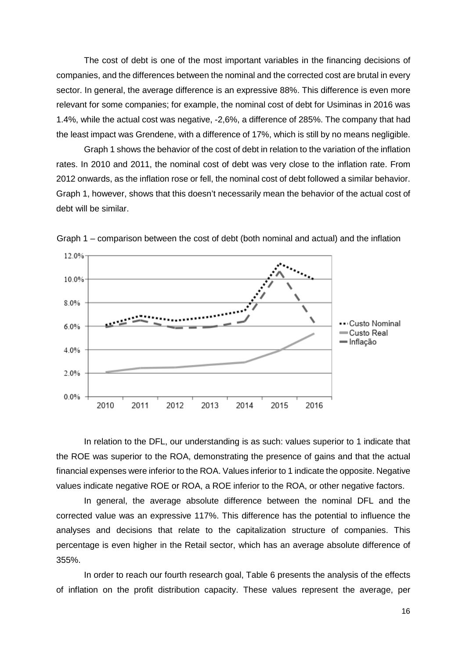The cost of debt is one of the most important variables in the financing decisions of companies, and the differences between the nominal and the corrected cost are brutal in every sector. In general, the average difference is an expressive 88%. This difference is even more relevant for some companies; for example, the nominal cost of debt for Usiminas in 2016 was 1.4%, while the actual cost was negative, -2,6%, a difference of 285%. The company that had the least impact was Grendene, with a difference of 17%, which is still by no means negligible.

Graph 1 shows the behavior of the cost of debt in relation to the variation of the inflation rates. In 2010 and 2011, the nominal cost of debt was very close to the inflation rate. From 2012 onwards, as the inflation rose or fell, the nominal cost of debt followed a similar behavior. Graph 1, however, shows that this doesn't necessarily mean the behavior of the actual cost of debt will be similar.



Graph 1 – comparison between the cost of debt (both nominal and actual) and the inflation

In relation to the DFL, our understanding is as such: values superior to 1 indicate that the ROE was superior to the ROA, demonstrating the presence of gains and that the actual financial expenses were inferior to the ROA. Values inferior to 1 indicate the opposite. Negative values indicate negative ROE or ROA, a ROE inferior to the ROA, or other negative factors.

In general, the average absolute difference between the nominal DFL and the corrected value was an expressive 117%. This difference has the potential to influence the analyses and decisions that relate to the capitalization structure of companies. This percentage is even higher in the Retail sector, which has an average absolute difference of 355%.

In order to reach our fourth research goal, Table 6 presents the analysis of the effects of inflation on the profit distribution capacity. These values represent the average, per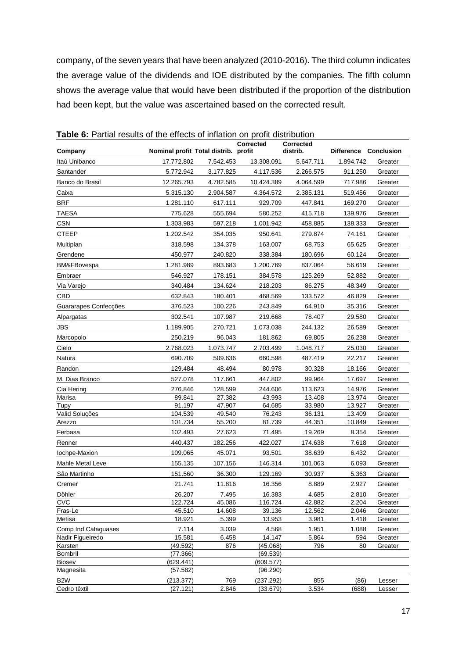company, of the seven years that have been analyzed (2010-2016). The third column indicates the average value of the dividends and IOE distributed by the companies. The fifth column shows the average value that would have been distributed if the proportion of the distribution had been kept, but the value was ascertained based on the corrected result.

|                                  |                                      |                 | <b>Corrected</b>      | <b>Corrected</b> |                   |                    |
|----------------------------------|--------------------------------------|-----------------|-----------------------|------------------|-------------------|--------------------|
| Company                          | Nominal profit Total distrib. profit |                 |                       | distrib.         | <b>Difference</b> | Conclusion         |
| Itaú Unibanco                    | 17.772.802                           | 7.542.453       | 13.308.091            | 5.647.711        | 1.894.742         | Greater            |
| Santander                        | 5.772.942                            | 3.177.825       | 4.117.536             | 2.266.575        | 911.250           | Greater            |
| Banco do Brasil                  | 12.265.793                           | 4.782.585       | 10.424.389            | 4.064.599        | 717.986           | Greater            |
| Caixa                            | 5.315.130                            | 2.904.587       | 4.364.572             | 2.385.131        | 519.456           | Greater            |
| <b>BRF</b>                       | 1.281.110                            | 617.111         | 929.709               | 447.841          | 169.270           | Greater            |
| <b>TAESA</b>                     | 775.628                              | 555.694         | 580.252               | 415.718          | 139.976           | Greater            |
| <b>CSN</b>                       | 1.303.983                            | 597.218         | 1.001.942             | 458.885          | 138.333           | Greater            |
| <b>CTEEP</b>                     | 1.202.542                            | 354.035         | 950.641               | 279.874          | 74.161            | Greater            |
| Multiplan                        | 318.598                              | 134.378         | 163.007               | 68.753           | 65.625            | Greater            |
| Grendene                         | 450.977                              | 240.820         | 338.384               | 180.696          | 60.124            | Greater            |
| BM&FBovespa                      | 1.281.989                            | 893.683         | 1.200.769             | 837.064          | 56.619            | Greater            |
| Embraer                          | 546.927                              | 178.151         | 384.578               | 125.269          | 52.882            | Greater            |
| Via Varejo                       | 340.484                              | 134.624         | 218.203               | 86.275           | 48.349            | Greater            |
| CBD                              | 632.843                              | 180.401         | 468.569               | 133.572          | 46.829            | Greater            |
| Guararapes Confecções            | 376.523                              | 100.226         | 243.849               | 64.910           | 35.316            | Greater            |
| Alpargatas                       | 302.541                              | 107.987         | 219.668               | 78.407           | 29.580            | Greater            |
| <b>JBS</b>                       | 1.189.905                            | 270.721         | 1.073.038             | 244.132          | 26.589            | Greater            |
| Marcopolo                        | 250.219                              | 96.043          | 181.862               | 69.805           | 26.238            | Greater            |
| Cielo                            | 2.768.023                            | 1.073.747       | 2.703.499             | 1.048.717        | 25.030            | Greater            |
| Natura                           | 690.709                              | 509.636         | 660.598               | 487.419          | 22.217            | Greater            |
| Randon                           | 129.484                              | 48.494          | 80.978                | 30.328           | 18.166            | Greater            |
| M. Dias Branco                   | 527.078                              | 117.661         | 447.802               | 99.964           | 17.697            | Greater            |
| Cia Hering                       | 276.846                              | 128.599         | 244.606               | 113.623          | 14.976            | Greater            |
| Marisa                           | 89.841                               | 27.382          | 43.993                | 13.408           | 13.974            | Greater            |
| Tupy                             | 91.197                               | 47.907          | 64.685                | 33.980           | 13.927            | Greater            |
| Valid Soluções                   | 104.539                              | 49.540          | 76.243                | 36.131           | 13.409            | Greater            |
| Arezzo                           | 101.734                              | 55.200          | 81.739                | 44.351           | 10.849            | Greater            |
| Ferbasa                          | 102.493                              | 27.623          | 71.495                | 19.269           | 8.354             | Greater            |
| Renner                           | 440.437                              | 182.256         | 422.027               | 174.638          | 7.618             | Greater            |
| Iochpe-Maxion                    | 109.065                              | 45.071          | 93.501                | 38.639           | 6.432             | Greater            |
| <b>Mahle Metal Leve</b>          | 155.135                              | 107.156         | 146.314               | 101.063          | 6.093             | Greater            |
| São Martinho                     | 151.560                              | 36.300          | 129.169               | 30.937           | 5.363             | Greater            |
| Cremer                           | 21.741                               | 11.816          | 16.356                | 8.889            | 2.927             | Greater            |
| Döhler                           | 26.207                               | 7.495           | 16.383                | 4.685            | 2.810             | Greater            |
| CVC                              | 122.724                              | 45.086          | 116.724               | 42.882           | 2.204             | Greater            |
| Fras-Le<br>Metisa                | 45.510<br>18.921                     | 14.608<br>5.399 | 39.136<br>13.953      | 12.562<br>3.981  | 2.046<br>1.418    | Greater<br>Greater |
| Comp Ind Cataguases              | 7.114                                | 3.039           | 4.568                 | 1.951            | 1.088             | Greater            |
| Nadir Figueiredo                 | 15.581                               | 6.458           | 14.147                | 5.864            | 594               | Greater            |
| Karsten                          | (49.592)                             | 876             | (45.068)              | 796              | 80                | Greater            |
| Bombril                          | (77.366)                             |                 | (69.539)              |                  |                   |                    |
| <b>Biosev</b>                    | (629.441)                            |                 | (609.577)             |                  |                   |                    |
| Magnesita                        | (57.582)                             |                 | (96.290)              |                  |                   |                    |
| B <sub>2</sub> W<br>Cedro têxtil | (213.377)<br>(27.121)                | 769<br>2.846    | (237.292)<br>(33.679) | 855<br>3.534     | (86)<br>(688)     | Lesser<br>Lesser   |
|                                  |                                      |                 |                       |                  |                   |                    |

**Table 6:** Partial results of the effects of inflation on profit distribution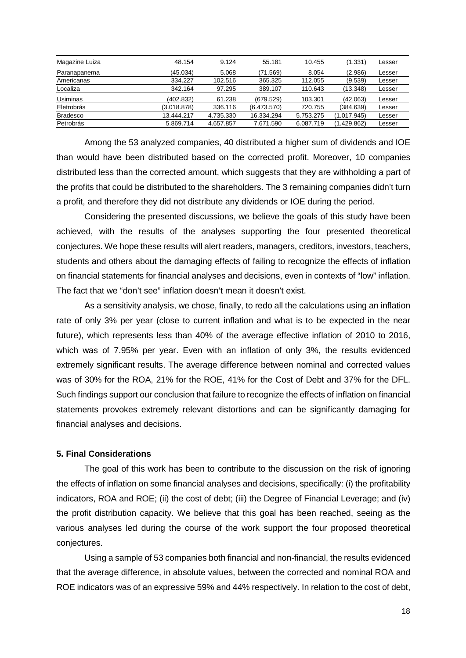| Magazine Luiza  | 48.154      | 9.124     | 55.181      | 10.455    | (1.331)     | Lesser |
|-----------------|-------------|-----------|-------------|-----------|-------------|--------|
| Paranapanema    | (45.034)    | 5.068     | (71.569)    | 8.054     | (2.986)     | Lesser |
| Americanas      | 334.227     | 102.516   | 365.325     | 112.055   | (9.539)     | Lesser |
| Localiza        | 342.164     | 97.295    | 389.107     | 110.643   | (13.348)    | Lesser |
| Usiminas        | (402.832)   | 61.238    | (679.529)   | 103.301   | (42.063)    | Lesser |
| Eletrobrás      | (3.018.878) | 336.116   | (6.473.570) | 720.755   | (384.639)   | Lesser |
| <b>Bradesco</b> | 13.444.217  | 4.735.330 | 16.334.294  | 5.753.275 | (1.017.945) | Lesser |
| Petrobrás       | 5.869.714   | 4.657.857 | 7.671.590   | 6.087.719 | (1.429.862) | Lesser |

Among the 53 analyzed companies, 40 distributed a higher sum of dividends and IOE than would have been distributed based on the corrected profit. Moreover, 10 companies distributed less than the corrected amount, which suggests that they are withholding a part of the profits that could be distributed to the shareholders. The 3 remaining companies didn't turn a profit, and therefore they did not distribute any dividends or IOE during the period.

Considering the presented discussions, we believe the goals of this study have been achieved, with the results of the analyses supporting the four presented theoretical conjectures. We hope these results will alert readers, managers, creditors, investors, teachers, students and others about the damaging effects of failing to recognize the effects of inflation on financial statements for financial analyses and decisions, even in contexts of "low" inflation. The fact that we "don't see" inflation doesn't mean it doesn't exist.

As a sensitivity analysis, we chose, finally, to redo all the calculations using an inflation rate of only 3% per year (close to current inflation and what is to be expected in the near future), which represents less than 40% of the average effective inflation of 2010 to 2016, which was of 7.95% per year. Even with an inflation of only 3%, the results evidenced extremely significant results. The average difference between nominal and corrected values was of 30% for the ROA, 21% for the ROE, 41% for the Cost of Debt and 37% for the DFL. Such findings support our conclusion that failure to recognize the effects of inflation on financial statements provokes extremely relevant distortions and can be significantly damaging for financial analyses and decisions.

## **5. Final Considerations**

The goal of this work has been to contribute to the discussion on the risk of ignoring the effects of inflation on some financial analyses and decisions, specifically: (i) the profitability indicators, ROA and ROE; (ii) the cost of debt; (iii) the Degree of Financial Leverage; and (iv) the profit distribution capacity. We believe that this goal has been reached, seeing as the various analyses led during the course of the work support the four proposed theoretical conjectures.

Using a sample of 53 companies both financial and non-financial, the results evidenced that the average difference, in absolute values, between the corrected and nominal ROA and ROE indicators was of an expressive 59% and 44% respectively. In relation to the cost of debt,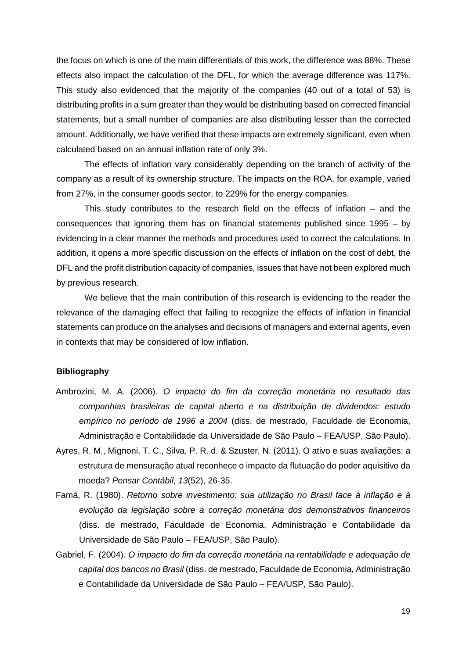the focus on which is one of the main differentials of this work, the difference was 88%. These effects also impact the calculation of the DFL, for which the average difference was 117%. This study also evidenced that the majority of the companies (40 out of a total of 53) is distributing profits in a sum greater than they would be distributing based on corrected financial statements, but a small number of companies are also distributing lesser than the corrected amount. Additionally, we have verified that these impacts are extremely significant, even when calculated based on an annual inflation rate of only 3%.

The effects of inflation vary considerably depending on the branch of activity of the company as a result of its ownership structure. The impacts on the ROA, for example, varied from 27%, in the consumer goods sector, to 229% for the energy companies.

This study contributes to the research field on the effects of inflation – and the consequences that ignoring them has on financial statements published since 1995 – by evidencing in a clear manner the methods and procedures used to correct the calculations. In addition, it opens a more specific discussion on the effects of inflation on the cost of debt, the DFL and the profit distribution capacity of companies, issues that have not been explored much by previous research.

We believe that the main contribution of this research is evidencing to the reader the relevance of the damaging effect that failing to recognize the effects of inflation in financial statements can produce on the analyses and decisions of managers and external agents, even in contexts that may be considered of low inflation.

## **Bibliography**

- Ambrozini, M. A. (2006). *O impacto do fim da correção monetária no resultado das companhias brasileiras de capital aberto e na distribuição de dividendos: estudo empírico no período de 1996 a 2004* (diss. de mestrado, Faculdade de Economia, Administração e Contabilidade da Universidade de São Paulo – FEA/USP, São Paulo).
- Ayres, R. M., Mignoni, T. C., Silva, P. R. d. & Szuster, N. (2011). O ativo e suas avaliações: a estrutura de mensuração atual reconhece o impacto da flutuação do poder aquisitivo da moeda? *Pensar Contábil*, *13*(52), 26-35.
- Famá, R. (1980). *Retorno sobre investimento: sua utilização no Brasil face à inflação e à evolução da legislação sobre a correção monetária dos demonstrativos financeiros*  (diss. de mestrado, Faculdade de Economia, Administração e Contabilidade da Universidade de São Paulo – FEA/USP, São Paulo).
- Gabriel, F. (2004). *O impacto do fim da correção monetária na rentabilidade e adequação de capital dos bancos no Brasil* (diss. de mestrado, Faculdade de Economia, Administração e Contabilidade da Universidade de São Paulo – FEA/USP, São Paulo).